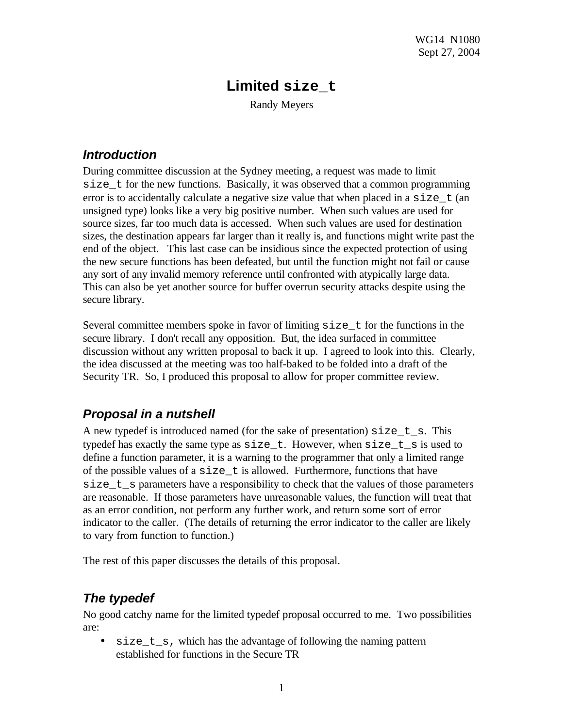# **Limited size\_t**

Randy Meyers

#### *Introduction*

During committee discussion at the Sydney meeting, a request was made to limit size\_t for the new functions. Basically, it was observed that a common programming error is to accidentally calculate a negative size value that when placed in a  $size~t$  (an unsigned type) looks like a very big positive number. When such values are used for source sizes, far too much data is accessed. When such values are used for destination sizes, the destination appears far larger than it really is, and functions might write past the end of the object. This last case can be insidious since the expected protection of using the new secure functions has been defeated, but until the function might not fail or cause any sort of any invalid memory reference until confronted with atypically large data. This can also be yet another source for buffer overrun security attacks despite using the secure library.

Several committee members spoke in favor of limiting size\_t for the functions in the secure library. I don't recall any opposition. But, the idea surfaced in committee discussion without any written proposal to back it up. I agreed to look into this. Clearly, the idea discussed at the meeting was too half-baked to be folded into a draft of the Security TR. So, I produced this proposal to allow for proper committee review.

### *Proposal in a nutshell*

A new typedef is introduced named (for the sake of presentation) size\_t\_s. This typedef has exactly the same type as  $size t$ . However, when  $size t$  s is used to define a function parameter, it is a warning to the programmer that only a limited range of the possible values of a  $size$  t is allowed. Furthermore, functions that have size\_t\_s parameters have a responsibility to check that the values of those parameters are reasonable. If those parameters have unreasonable values, the function will treat that as an error condition, not perform any further work, and return some sort of error indicator to the caller. (The details of returning the error indicator to the caller are likely to vary from function to function.)

The rest of this paper discusses the details of this proposal.

# *The typedef*

No good catchy name for the limited typedef proposal occurred to me. Two possibilities are:

 $\bullet$  size t s, which has the advantage of following the naming pattern established for functions in the Secure TR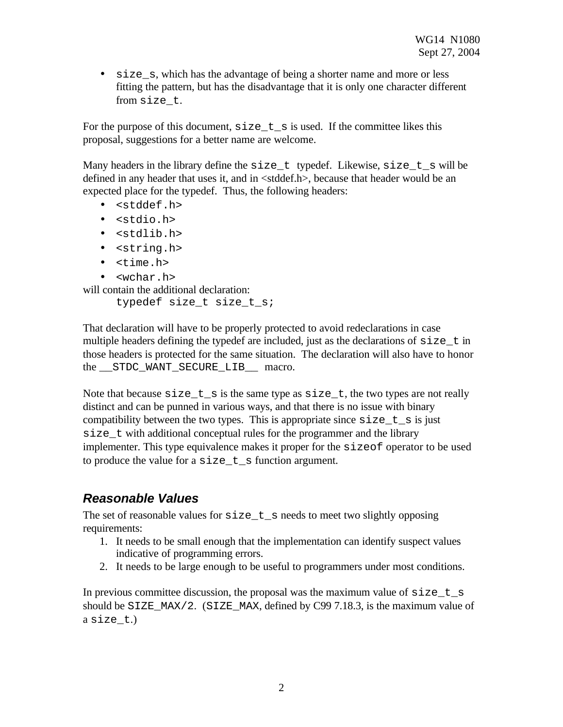• size\_s, which has the advantage of being a shorter name and more or less fitting the pattern, but has the disadvantage that it is only one character different from size\_t.

For the purpose of this document,  $size t$  is used. If the committee likes this proposal, suggestions for a better name are welcome.

Many headers in the library define the  $size_t$  typedef. Likewise,  $size_t$  s will be defined in any header that uses it, and in <stddef.h>, because that header would be an expected place for the typedef. Thus, the following headers:

- <stddef.h>
- <stdio.h>
- <stdlib.h>
- <string.h>
- <time.h>
- <wchar.h>

will contain the additional declaration:

typedef size\_t size\_t\_s;

That declaration will have to be properly protected to avoid redeclarations in case multiple headers defining the typedef are included, just as the declarations of  $size_t$  in those headers is protected for the same situation. The declaration will also have to honor the \_\_STDC\_WANT\_SECURE\_LIB\_\_ macro.

Note that because  $size_t$  is the same type as  $size_t$ , the two types are not really distinct and can be punned in various ways, and that there is no issue with binary compatibility between the two types. This is appropriate since  $size_t$  is just size\_t with additional conceptual rules for the programmer and the library implementer. This type equivalence makes it proper for the sizeof operator to be used to produce the value for a  $size t$  s function argument.

#### *Reasonable Values*

The set of reasonable values for  $size t$  s needs to meet two slightly opposing requirements:

- 1. It needs to be small enough that the implementation can identify suspect values indicative of programming errors.
- 2. It needs to be large enough to be useful to programmers under most conditions.

In previous committee discussion, the proposal was the maximum value of  $size_t$  s should be SIZE\_MAX/2. (SIZE\_MAX, defined by C99 7.18.3, is the maximum value of a size t.)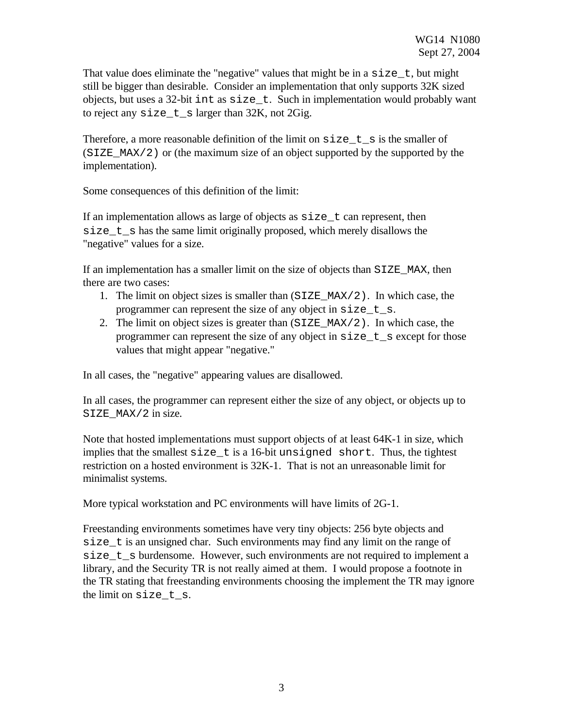That value does eliminate the "negative" values that might be in a  $size_t$ , but might still be bigger than desirable. Consider an implementation that only supports 32K sized objects, but uses a 32-bit int as size\_t. Such in implementation would probably want to reject any size  $t$  s larger than 32K, not 2Gig.

Therefore, a more reasonable definition of the limit on  $size_t$  is the smaller of  $(SIZE MAX/2)$  or (the maximum size of an object supported by the supported by the implementation).

Some consequences of this definition of the limit:

If an implementation allows as large of objects as  $size_t$  can represent, then size  $t$  s has the same limit originally proposed, which merely disallows the "negative" values for a size.

If an implementation has a smaller limit on the size of objects than SIZE\_MAX, then there are two cases:

- 1. The limit on object sizes is smaller than  $(SIZE_MAX/2)$ . In which case, the programmer can represent the size of any object in size\_t\_s.
- 2. The limit on object sizes is greater than  $(SIZE_MAX/2)$ . In which case, the programmer can represent the size of any object in  $size$  t s except for those values that might appear "negative."

In all cases, the "negative" appearing values are disallowed.

In all cases, the programmer can represent either the size of any object, or objects up to SIZE\_MAX/2 in size.

Note that hosted implementations must support objects of at least 64K-1 in size, which implies that the smallest  $size t$  is a 16-bit unsigned short. Thus, the tightest restriction on a hosted environment is 32K-1. That is not an unreasonable limit for minimalist systems.

More typical workstation and PC environments will have limits of 2G-1.

Freestanding environments sometimes have very tiny objects: 256 byte objects and size\_t is an unsigned char. Such environments may find any limit on the range of size\_t\_s burdensome. However, such environments are not required to implement a library, and the Security TR is not really aimed at them. I would propose a footnote in the TR stating that freestanding environments choosing the implement the TR may ignore the limit on size\_t\_s.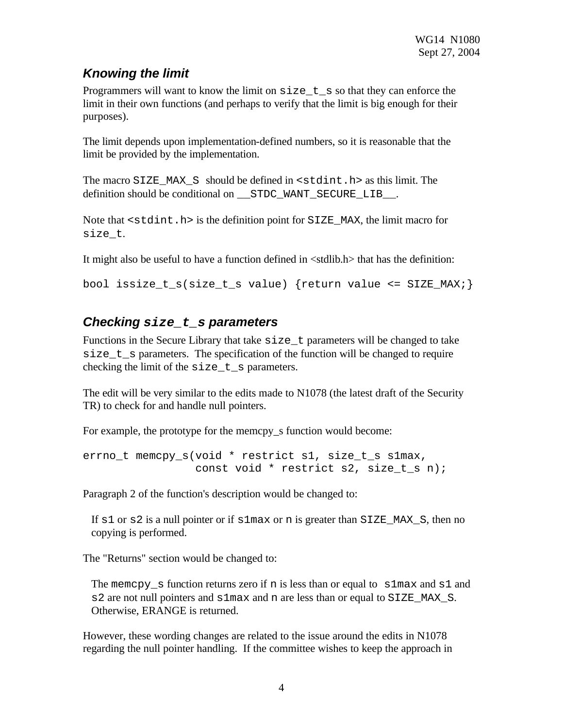# *Knowing the limit*

Programmers will want to know the limit on  $size_t$  so that they can enforce the limit in their own functions (and perhaps to verify that the limit is big enough for their purposes).

The limit depends upon implementation-defined numbers, so it is reasonable that the limit be provided by the implementation.

The macro SIZE\_MAX\_S should be defined in <stdint.h> as this limit. The definition should be conditional on \_\_STDC\_WANT\_SECURE\_LIB\_\_.

Note that  $\leq$  stdint. h> is the definition point for SIZE\_MAX, the limit macro for size\_t.

It might also be useful to have a function defined in <stdlib.h> that has the definition:

bool issize\_t\_s(size\_t\_s value) {return value <= SIZE\_MAX;}

## *Checking size\_t\_s parameters*

Functions in the Secure Library that take  $size_t$  parameters will be changed to take size t s parameters. The specification of the function will be changed to require checking the limit of the size\_t\_s parameters.

The edit will be very similar to the edits made to N1078 (the latest draft of the Security TR) to check for and handle null pointers.

For example, the prototype for the memcpy s function would become:

```
errno_t memcpy_s(void * restrict s1, size_t_s s1max,
      const void * restrict s2, size_t_s n);
```
Paragraph 2 of the function's description would be changed to:

If s1 or s2 is a null pointer or if s1max or n is greater than SIZE\_MAX\_S, then no copying is performed.

The "Returns" section would be changed to:

The memcpy  $\mathcal{S}$  function returns zero if n is less than or equal to  $\mathcal{S}1$  max and  $\mathcal{S}1$  and  $s2$  are not null pointers and  $s1$  max and n are less than or equal to  $S1ZE$  MAX  $S$ . Otherwise, ERANGE is returned.

However, these wording changes are related to the issue around the edits in N1078 regarding the null pointer handling. If the committee wishes to keep the approach in